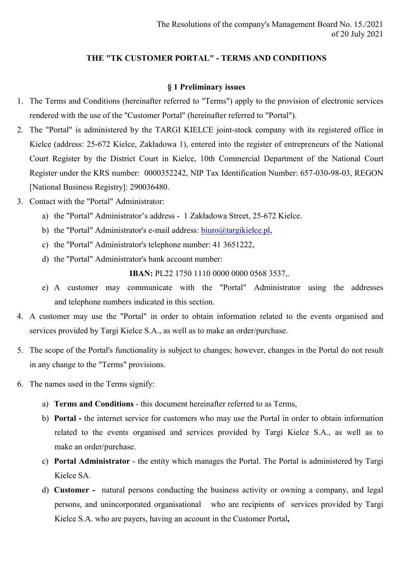## THE "TK CUSTOMER PORTAL" - TERMS AND CONDITIONS

### § 1 Preliminary issues

- 1. The Terms and Conditions (hereinafter referred to "Terms") apply to the provision of electronic services rendered with the use of the "Customer Portal" (hereinafter referred to "Portal").
- 2. The "Portal" is administered by the TARGI KIELCE joint-stock company with its registered office in Kielce (address: 25-672 Kielce, Zakładowa 1), entered into the register of entrepreneurs of the National Court Register by the District Court in Kielce, 10th Commercial Department of the National Court Register under the KRS number: 0000352242, NIP Tax Identification Number: 657-030-98-03, REGON [National Business Registry]: 290036480.
- 3. Contact with the "Portal" Administrator:
	- a) the "Portal" Administrator's address 1 Zakładowa Street, 25-672 Kielce.
	- b) the "Portal" Administrator's e-mail address: biuro@targikielce.pl,
	- c) the "Portal" Administrator's telephone number: 41 3651222,
	- d) the "Portal" Administrator's bank account number:

IBAN: PL22 1750 1110 0000 0000 0568 3537,.

- e) A customer may communicate with the "Portal" Administrator using the addresses and telephone numbers indicated in this section.
- 4. A customer may use the "Portal" in order to obtain information related to the events organised and services provided by Targi Kielce S.A., as well as to make an order/purchase.
- 5. The scope of the Portal's functionality is subject to changes; however, changes in the Portal do not result in any change to the "Terms" provisions.
- 6. The names used in the Terms signify:
	- a) Terms and Conditions this document hereinafter referred to as Terms,
	- b) Portal the internet service for customers who may use the Portal in order to obtain information related to the events organised and services provided by Targi Kielce S.A., as well as to make an order/purchase.
	- c) Portal Administrator the entity which manages the Portal. The Portal is administered by Targi Kielce SA.
	- d) Customer natural persons conducting the business activity or owning a company, and legal persons, and unincorporated organisational who are recipients of services provided by Targi Kielce S.A. who are payers, having an account in the Customer Portal,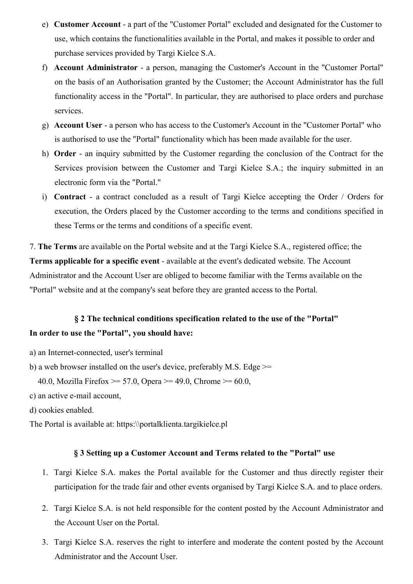- e) Customer Account a part of the "Customer Portal" excluded and designated for the Customer to use, which contains the functionalities available in the Portal, and makes it possible to order and purchase services provided by Targi Kielce S.A.
- f) Account Administrator a person, managing the Customer's Account in the "Customer Portal" on the basis of an Authorisation granted by the Customer; the Account Administrator has the full functionality access in the "Portal". In particular, they are authorised to place orders and purchase services.
- g) Account User a person who has access to the Customer's Account in the "Customer Portal" who is authorised to use the "Portal" functionality which has been made available for the user.
- h) Order an inquiry submitted by the Customer regarding the conclusion of the Contract for the Services provision between the Customer and Targi Kielce S.A.; the inquiry submitted in an electronic form via the "Portal."
- i) Contract a contract concluded as a result of Targi Kielce accepting the Order / Orders for execution, the Orders placed by the Customer according to the terms and conditions specified in these Terms or the terms and conditions of a specific event.

7. The Terms are available on the Portal website and at the Targi Kielce S.A., registered office; the Terms applicable for a specific event - available at the event's dedicated website. The Account Administrator and the Account User are obliged to become familiar with the Terms available on the "Portal" website and at the company's seat before they are granted access to the Portal.

# § 2 The technical conditions specification related to the use of the "Portal" In order to use the "Portal", you should have:

- a) an Internet-connected, user's terminal
- b) a web browser installed on the user's device, preferably M.S. Edge >=

40.0, Mozilla Firefox  $>= 57.0$ , Opera  $>= 49.0$ , Chrome  $>= 60.0$ ,

- c) an active e-mail account,
- d) cookies enabled.

The Portal is available at: https:\\portalklienta.targikielce.pl

#### § 3 Setting up a Customer Account and Terms related to the "Portal" use

- 1. Targi Kielce S.A. makes the Portal available for the Customer and thus directly register their participation for the trade fair and other events organised by Targi Kielce S.A. and to place orders.
- 2. Targi Kielce S.A. is not held responsible for the content posted by the Account Administrator and the Account User on the Portal.
- 3. Targi Kielce S.A. reserves the right to interfere and moderate the content posted by the Account Administrator and the Account User.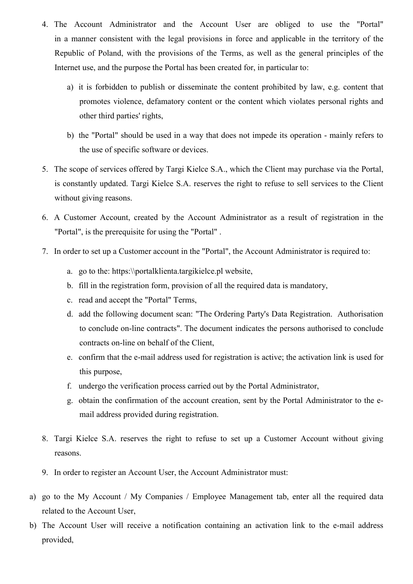- 4. The Account Administrator and the Account User are obliged to use the "Portal" in a manner consistent with the legal provisions in force and applicable in the territory of the Republic of Poland, with the provisions of the Terms, as well as the general principles of the Internet use, and the purpose the Portal has been created for, in particular to:
	- a) it is forbidden to publish or disseminate the content prohibited by law, e.g. content that promotes violence, defamatory content or the content which violates personal rights and other third parties' rights,
	- b) the "Portal" should be used in a way that does not impede its operation mainly refers to the use of specific software or devices.
- 5. The scope of services offered by Targi Kielce S.A., which the Client may purchase via the Portal, is constantly updated. Targi Kielce S.A. reserves the right to refuse to sell services to the Client without giving reasons.
- 6. A Customer Account, created by the Account Administrator as a result of registration in the "Portal", is the prerequisite for using the "Portal" .
- 7. In order to set up a Customer account in the "Portal", the Account Administrator is required to:
	- a. go to the: https:\\portalklienta.targikielce.pl website,
	- b. fill in the registration form, provision of all the required data is mandatory,
	- c. read and accept the "Portal" Terms,
	- d. add the following document scan: "The Ordering Party's Data Registration. Authorisation to conclude on-line contracts". The document indicates the persons authorised to conclude contracts on-line on behalf of the Client,
	- e. confirm that the e-mail address used for registration is active; the activation link is used for this purpose,
	- f. undergo the verification process carried out by the Portal Administrator,
	- g. obtain the confirmation of the account creation, sent by the Portal Administrator to the email address provided during registration.
- 8. Targi Kielce S.A. reserves the right to refuse to set up a Customer Account without giving reasons.
- 9. In order to register an Account User, the Account Administrator must:
- a) go to the My Account / My Companies / Employee Management tab, enter all the required data related to the Account User,
- b) The Account User will receive a notification containing an activation link to the e-mail address provided,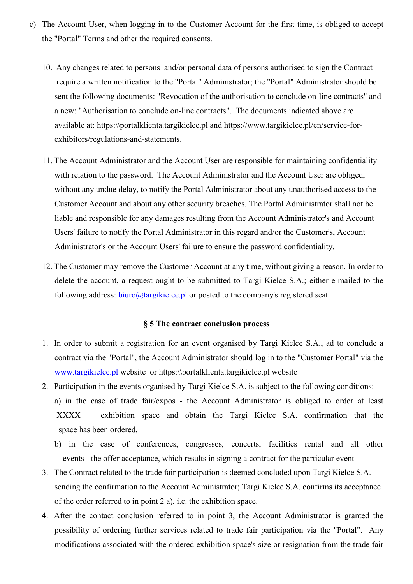- c) The Account User, when logging in to the Customer Account for the first time, is obliged to accept the "Portal" Terms and other the required consents.
	- 10. Any changes related to persons and/or personal data of persons authorised to sign the Contract require a written notification to the "Portal" Administrator; the "Portal" Administrator should be sent the following documents: "Revocation of the authorisation to conclude on-line contracts" and a new: "Authorisation to conclude on-line contracts". The documents indicated above are available at: https:\\portalklienta.targikielce.pl and https://www.targikielce.pl/en/service-forexhibitors/regulations-and-statements.
	- 11. The Account Administrator and the Account User are responsible for maintaining confidentiality with relation to the password. The Account Administrator and the Account User are obliged, without any undue delay, to notify the Portal Administrator about any unauthorised access to the Customer Account and about any other security breaches. The Portal Administrator shall not be liable and responsible for any damages resulting from the Account Administrator's and Account Users' failure to notify the Portal Administrator in this regard and/or the Customer's, Account Administrator's or the Account Users' failure to ensure the password confidentiality.
	- 12. The Customer may remove the Customer Account at any time, without giving a reason. In order to delete the account, a request ought to be submitted to Targi Kielce S.A.; either e-mailed to the following address: biuro@targikielce.pl or posted to the company's registered seat.

### § 5 The contract conclusion process

- 1. In order to submit a registration for an event organised by Targi Kielce S.A., ad to conclude a contract via the "Portal", the Account Administrator should log in to the "Customer Portal" via the www.targikielce.pl website or https:\\portalklienta.targikielce.pl website
- 2. Participation in the events organised by Targi Kielce S.A. is subject to the following conditions: a) in the case of trade fair/expos - the Account Administrator is obliged to order at least XXXX exhibition space and obtain the Targi Kielce S.A. confirmation that the space has been ordered,
	- b) in the case of conferences, congresses, concerts, facilities rental and all other events - the offer acceptance, which results in signing a contract for the particular event
- 3. The Contract related to the trade fair participation is deemed concluded upon Targi Kielce S.A. sending the confirmation to the Account Administrator; Targi Kielce S.A. confirms its acceptance of the order referred to in point 2 a), i.e. the exhibition space.
- 4. After the contact conclusion referred to in point 3, the Account Administrator is granted the possibility of ordering further services related to trade fair participation via the "Portal". Any modifications associated with the ordered exhibition space's size or resignation from the trade fair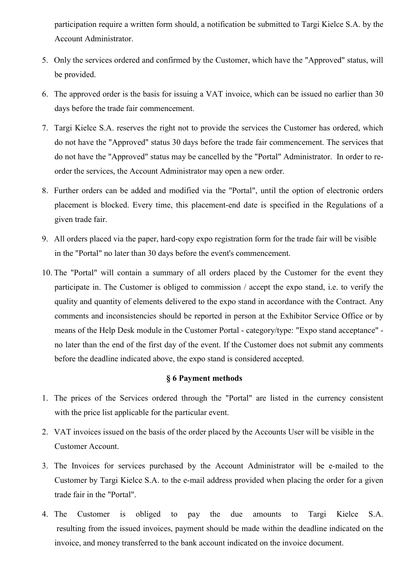participation require a written form should, a notification be submitted to Targi Kielce S.A. by the Account Administrator.

- 5. Only the services ordered and confirmed by the Customer, which have the "Approved" status, will be provided.
- 6. The approved order is the basis for issuing a VAT invoice, which can be issued no earlier than 30 days before the trade fair commencement.
- 7. Targi Kielce S.A. reserves the right not to provide the services the Customer has ordered, which do not have the "Approved" status 30 days before the trade fair commencement. The services that do not have the "Approved" status may be cancelled by the "Portal" Administrator. In order to reorder the services, the Account Administrator may open a new order.
- 8. Further orders can be added and modified via the "Portal", until the option of electronic orders placement is blocked. Every time, this placement-end date is specified in the Regulations of a given trade fair.
- 9. All orders placed via the paper, hard-copy expo registration form for the trade fair will be visible in the "Portal" no later than 30 days before the event's commencement.
- 10. The "Portal" will contain a summary of all orders placed by the Customer for the event they participate in. The Customer is obliged to commission / accept the expo stand, i.e. to verify the quality and quantity of elements delivered to the expo stand in accordance with the Contract. Any comments and inconsistencies should be reported in person at the Exhibitor Service Office or by means of the Help Desk module in the Customer Portal - category/type: "Expo stand acceptance" no later than the end of the first day of the event. If the Customer does not submit any comments before the deadline indicated above, the expo stand is considered accepted.

#### § 6 Payment methods

- 1. The prices of the Services ordered through the "Portal" are listed in the currency consistent with the price list applicable for the particular event.
- 2. VAT invoices issued on the basis of the order placed by the Accounts User will be visible in the Customer Account.
- 3. The Invoices for services purchased by the Account Administrator will be e-mailed to the Customer by Targi Kielce S.A. to the e-mail address provided when placing the order for a given trade fair in the "Portal".
- 4. The Customer is obliged to pay the due amounts to Targi Kielce S.A. resulting from the issued invoices, payment should be made within the deadline indicated on the invoice, and money transferred to the bank account indicated on the invoice document.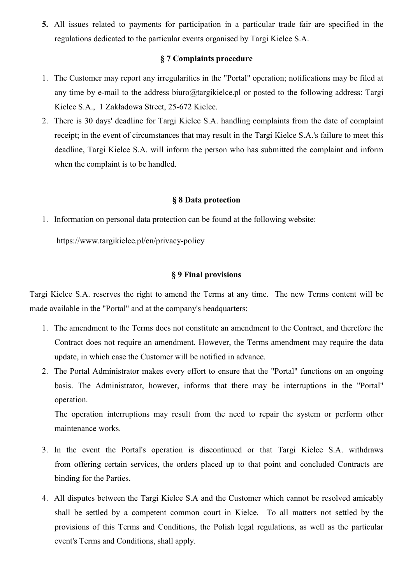5. All issues related to payments for participation in a particular trade fair are specified in the regulations dedicated to the particular events organised by Targi Kielce S.A.

#### § 7 Complaints procedure

- 1. The Customer may report any irregularities in the "Portal" operation; notifications may be filed at any time by e-mail to the address biuro@targikielce.pl or posted to the following address: Targi Kielce S.A., 1 Zakładowa Street, 25-672 Kielce.
- 2. There is 30 days' deadline for Targi Kielce S.A. handling complaints from the date of complaint receipt; in the event of circumstances that may result in the Targi Kielce S.A.'s failure to meet this deadline, Targi Kielce S.A. will inform the person who has submitted the complaint and inform when the complaint is to be handled.

#### § 8 Data protection

1. Information on personal data protection can be found at the following website:

https://www.targikielce.pl/en/privacy-policy

#### § 9 Final provisions

Targi Kielce S.A. reserves the right to amend the Terms at any time. The new Terms content will be made available in the "Portal" and at the company's headquarters:

- 1. The amendment to the Terms does not constitute an amendment to the Contract, and therefore the Contract does not require an amendment. However, the Terms amendment may require the data update, in which case the Customer will be notified in advance.
- 2. The Portal Administrator makes every effort to ensure that the "Portal" functions on an ongoing basis. The Administrator, however, informs that there may be interruptions in the "Portal" operation.

The operation interruptions may result from the need to repair the system or perform other maintenance works.

- 3. In the event the Portal's operation is discontinued or that Targi Kielce S.A. withdraws from offering certain services, the orders placed up to that point and concluded Contracts are binding for the Parties.
- 4. All disputes between the Targi Kielce S.A and the Customer which cannot be resolved amicably shall be settled by a competent common court in Kielce. To all matters not settled by the provisions of this Terms and Conditions, the Polish legal regulations, as well as the particular event's Terms and Conditions, shall apply.